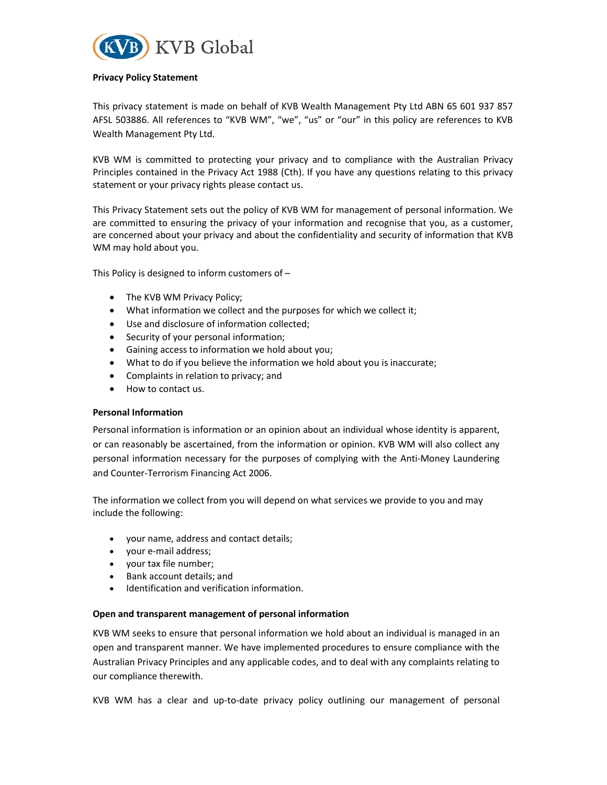

#### Privacy Policy Statement

This privacy statement is made on behalf of KVB Wealth Management Pty Ltd ABN 65 601 937 857 AFSL 503886. All references to "KVB WM", "we", "us" or "our" in this policy are references to KVB Wealth Management Pty Ltd.

KVB WM is committed to protecting your privacy and to compliance with the Australian Privacy Principles contained in the Privacy Act 1988 (Cth). If you have any questions relating to this privacy statement or your privacy rights please contact us.

This Privacy Statement sets out the policy of KVB WM for management of personal information. We are committed to ensuring the privacy of your information and recognise that you, as a customer, are concerned about your privacy and about the confidentiality and security of information that KVB WM may hold about you.

This Policy is designed to inform customers of –

- The KVB WM Privacy Policy;
- What information we collect and the purposes for which we collect it;
- Use and disclosure of information collected;
- Security of your personal information;
- Gaining access to information we hold about you;
- What to do if you believe the information we hold about you is inaccurate;
- Complaints in relation to privacy; and
- How to contact us.

#### Personal Information

Personal information is information or an opinion about an individual whose identity is apparent, or can reasonably be ascertained, from the information or opinion. KVB WM will also collect any personal information necessary for the purposes of complying with the Anti-Money Laundering and Counter-Terrorism Financing Act 2006.

The information we collect from you will depend on what services we provide to you and may include the following:

- your name, address and contact details;
- your e-mail address;
- your tax file number;
- Bank account details: and
- Identification and verification information.

#### Open and transparent management of personal information

KVB WM seeks to ensure that personal information we hold about an individual is managed in an open and transparent manner. We have implemented procedures to ensure compliance with the Australian Privacy Principles and any applicable codes, and to deal with any complaints relating to our compliance therewith.

KVB WM has a clear and up-to-date privacy policy outlining our management of personal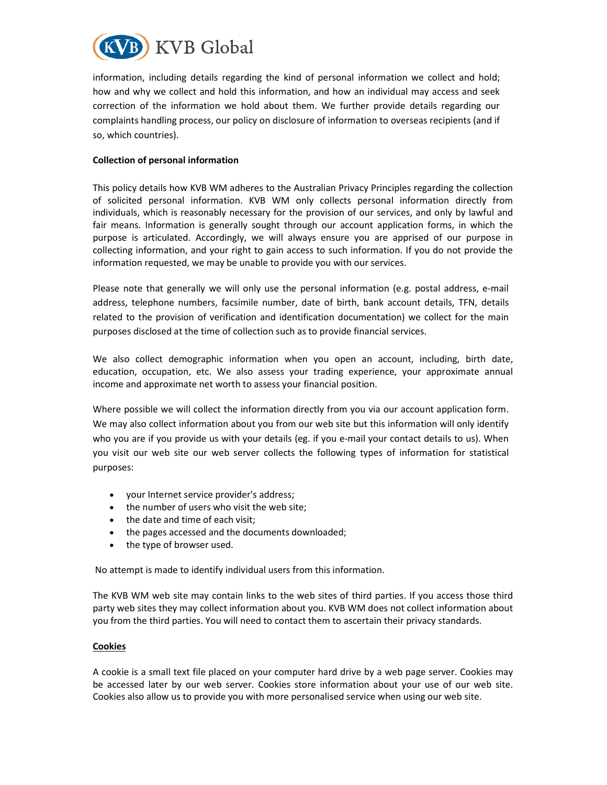

information, including details regarding the kind of personal information we collect and hold; how and why we collect and hold this information, and how an individual may access and seek correction of the information we hold about them. We further provide details regarding our complaints handling process, our policy on disclosure of information to overseas recipients (and if so, which countries).

## Collection of personal information

This policy details how KVB WM adheres to the Australian Privacy Principles regarding the collection of solicited personal information. KVB WM only collects personal information directly from individuals, which is reasonably necessary for the provision of our services, and only by lawful and fair means. Information is generally sought through our account application forms, in which the purpose is articulated. Accordingly, we will always ensure you are apprised of our purpose in collecting information, and your right to gain access to such information. If you do not provide the information requested, we may be unable to provide you with our services.

Please note that generally we will only use the personal information (e.g. postal address, e-mail address, telephone numbers, facsimile number, date of birth, bank account details, TFN, details related to the provision of verification and identification documentation) we collect for the main purposes disclosed at the time of collection such as to provide financial services.

We also collect demographic information when you open an account, including, birth date, education, occupation, etc. We also assess your trading experience, your approximate annual income and approximate net worth to assess your financial position.

Where possible we will collect the information directly from you via our account application form. We may also collect information about you from our web site but this information will only identify who you are if you provide us with your details (eg. if you e-mail your contact details to us). When you visit our web site our web server collects the following types of information for statistical purposes:

- your Internet service provider's address;
- the number of users who visit the web site;
- the date and time of each visit;
- the pages accessed and the documents downloaded;
- the type of browser used.

No attempt is made to identify individual users from this information.

The KVB WM web site may contain links to the web sites of third parties. If you access those third party web sites they may collect information about you. KVB WM does not collect information about you from the third parties. You will need to contact them to ascertain their privacy standards.

#### Cookies

A cookie is a small text file placed on your computer hard drive by a web page server. Cookies may be accessed later by our web server. Cookies store information about your use of our web site. Cookies also allow us to provide you with more personalised service when using our web site.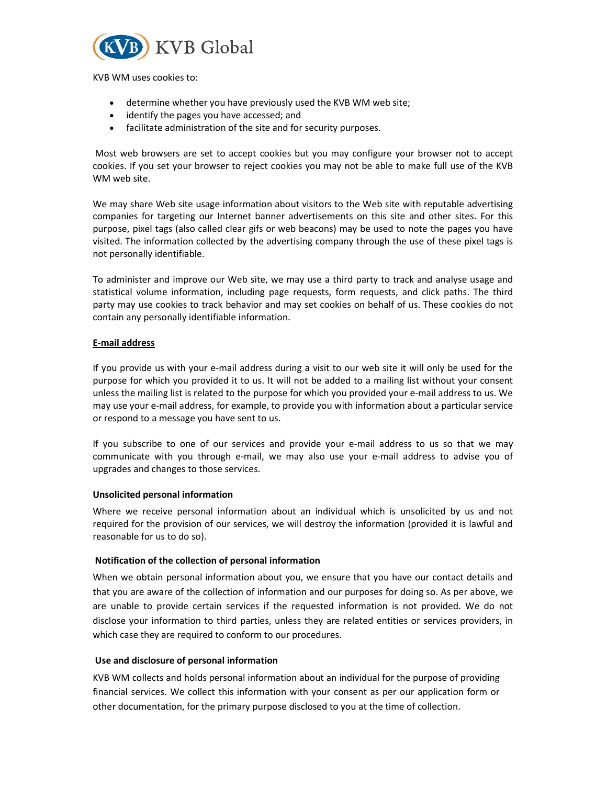

KVB WM uses cookies to:

- determine whether you have previously used the KVB WM web site;
- identify the pages you have accessed; and
- facilitate administration of the site and for security purposes.

 Most web browsers are set to accept cookies but you may configure your browser not to accept cookies. If you set your browser to reject cookies you may not be able to make full use of the KVB WM web site.

We may share Web site usage information about visitors to the Web site with reputable advertising companies for targeting our Internet banner advertisements on this site and other sites. For this purpose, pixel tags (also called clear gifs or web beacons) may be used to note the pages you have visited. The information collected by the advertising company through the use of these pixel tags is not personally identifiable.

To administer and improve our Web site, we may use a third party to track and analyse usage and statistical volume information, including page requests, form requests, and click paths. The third party may use cookies to track behavior and may set cookies on behalf of us. These cookies do not contain any personally identifiable information.

## E-mail address

If you provide us with your e-mail address during a visit to our web site it will only be used for the purpose for which you provided it to us. It will not be added to a mailing list without your consent unless the mailing list is related to the purpose for which you provided your e-mail address to us. We may use your e-mail address, for example, to provide you with information about a particular service or respond to a message you have sent to us.

If you subscribe to one of our services and provide your e-mail address to us so that we may communicate with you through e-mail, we may also use your e-mail address to advise you of upgrades and changes to those services.

#### Unsolicited personal information

Where we receive personal information about an individual which is unsolicited by us and not required for the provision of our services, we will destroy the information (provided it is lawful and reasonable for us to do so).

#### Notification of the collection of personal information

When we obtain personal information about you, we ensure that you have our contact details and that you are aware of the collection of information and our purposes for doing so. As per above, we are unable to provide certain services if the requested information is not provided. We do not disclose your information to third parties, unless they are related entities or services providers, in which case they are required to conform to our procedures.

#### Use and disclosure of personal information

KVB WM collects and holds personal information about an individual for the purpose of providing financial services. We collect this information with your consent as per our application form or other documentation, for the primary purpose disclosed to you at the time of collection.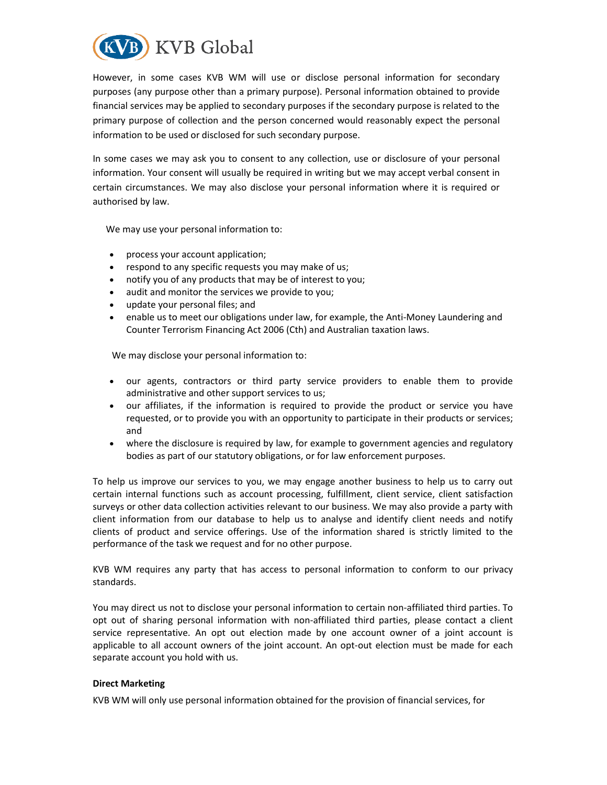

However, in some cases KVB WM will use or disclose personal information for secondary purposes (any purpose other than a primary purpose). Personal information obtained to provide financial services may be applied to secondary purposes if the secondary purpose is related to the primary purpose of collection and the person concerned would reasonably expect the personal information to be used or disclosed for such secondary purpose.

In some cases we may ask you to consent to any collection, use or disclosure of your personal information. Your consent will usually be required in writing but we may accept verbal consent in certain circumstances. We may also disclose your personal information where it is required or authorised by law.

We may use your personal information to:

- process your account application;
- respond to any specific requests you may make of us;
- notify you of any products that may be of interest to you;
- audit and monitor the services we provide to you;
- update your personal files; and
- enable us to meet our obligations under law, for example, the Anti-Money Laundering and Counter Terrorism Financing Act 2006 (Cth) and Australian taxation laws.

We may disclose your personal information to:

- our agents, contractors or third party service providers to enable them to provide administrative and other support services to us;
- our affiliates, if the information is required to provide the product or service you have requested, or to provide you with an opportunity to participate in their products or services; and
- where the disclosure is required by law, for example to government agencies and regulatory bodies as part of our statutory obligations, or for law enforcement purposes.

To help us improve our services to you, we may engage another business to help us to carry out certain internal functions such as account processing, fulfillment, client service, client satisfaction surveys or other data collection activities relevant to our business. We may also provide a party with client information from our database to help us to analyse and identify client needs and notify clients of product and service offerings. Use of the information shared is strictly limited to the performance of the task we request and for no other purpose.

KVB WM requires any party that has access to personal information to conform to our privacy standards.

You may direct us not to disclose your personal information to certain non-affiliated third parties. To opt out of sharing personal information with non-affiliated third parties, please contact a client service representative. An opt out election made by one account owner of a joint account is applicable to all account owners of the joint account. An opt-out election must be made for each separate account you hold with us.

#### Direct Marketing

KVB WM will only use personal information obtained for the provision of financial services, for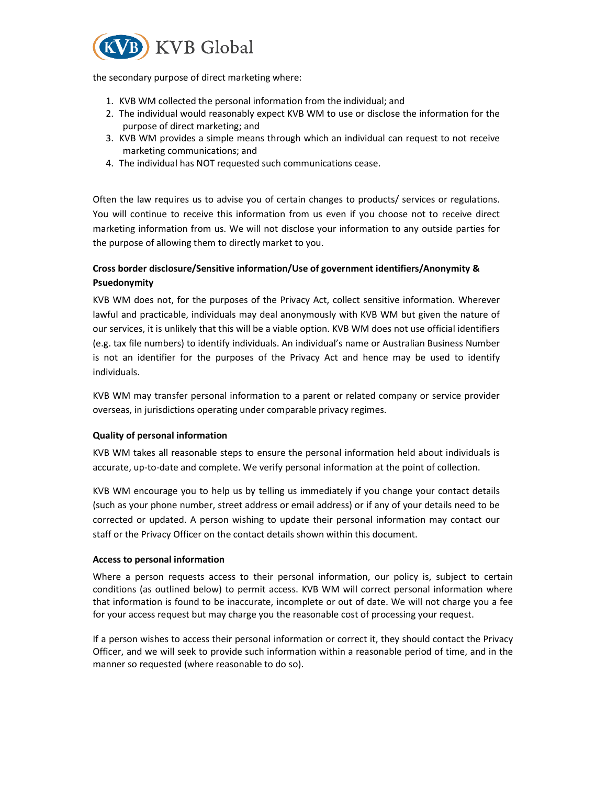

the secondary purpose of direct marketing where:

- 1. KVB WM collected the personal information from the individual; and
- 2. The individual would reasonably expect KVB WM to use or disclose the information for the purpose of direct marketing; and
- 3. KVB WM provides a simple means through which an individual can request to not receive marketing communications; and
- 4. The individual has NOT requested such communications cease.

Often the law requires us to advise you of certain changes to products/ services or regulations. You will continue to receive this information from us even if you choose not to receive direct marketing information from us. We will not disclose your information to any outside parties for the purpose of allowing them to directly market to you.

# Cross border disclosure/Sensitive information/Use of government identifiers/Anonymity & Psuedonymity

KVB WM does not, for the purposes of the Privacy Act, collect sensitive information. Wherever lawful and practicable, individuals may deal anonymously with KVB WM but given the nature of our services, it is unlikely that this will be a viable option. KVB WM does not use official identifiers (e.g. tax file numbers) to identify individuals. An individual's name or Australian Business Number is not an identifier for the purposes of the Privacy Act and hence may be used to identify individuals.

KVB WM may transfer personal information to a parent or related company or service provider overseas, in jurisdictions operating under comparable privacy regimes.

## Quality of personal information

KVB WM takes all reasonable steps to ensure the personal information held about individuals is accurate, up-to-date and complete. We verify personal information at the point of collection.

KVB WM encourage you to help us by telling us immediately if you change your contact details (such as your phone number, street address or email address) or if any of your details need to be corrected or updated. A person wishing to update their personal information may contact our staff or the Privacy Officer on the contact details shown within this document.

#### Access to personal information

Where a person requests access to their personal information, our policy is, subject to certain conditions (as outlined below) to permit access. KVB WM will correct personal information where that information is found to be inaccurate, incomplete or out of date. We will not charge you a fee for your access request but may charge you the reasonable cost of processing your request.

If a person wishes to access their personal information or correct it, they should contact the Privacy Officer, and we will seek to provide such information within a reasonable period of time, and in the manner so requested (where reasonable to do so).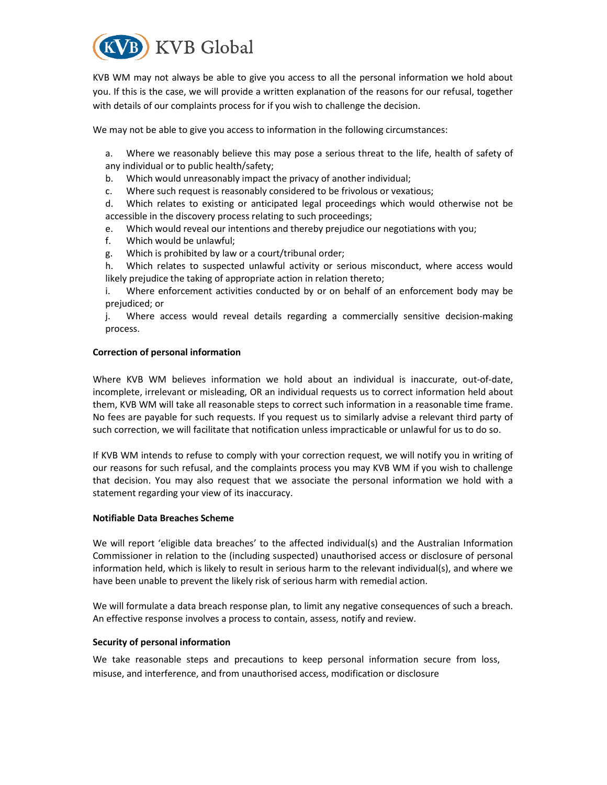

KVB WM may not always be able to give you access to all the personal information we hold about you. If this is the case, we will provide a written explanation of the reasons for our refusal, together with details of our complaints process for if you wish to challenge the decision.

We may not be able to give you access to information in the following circumstances:

a. Where we reasonably believe this may pose a serious threat to the life, health of safety of any individual or to public health/safety;

- b. Which would unreasonably impact the privacy of another individual;
- c. Where such request is reasonably considered to be frivolous or vexatious;

d. Which relates to existing or anticipated legal proceedings which would otherwise not be accessible in the discovery process relating to such proceedings;

- e. Which would reveal our intentions and thereby prejudice our negotiations with you;
- f. Which would be unlawful;
- g. Which is prohibited by law or a court/tribunal order;

h. Which relates to suspected unlawful activity or serious misconduct, where access would likely prejudice the taking of appropriate action in relation thereto;

i. Where enforcement activities conducted by or on behalf of an enforcement body may be prejudiced; or

j. Where access would reveal details regarding a commercially sensitive decision-making process.

#### Correction of personal information

Where KVB WM believes information we hold about an individual is inaccurate, out-of-date, incomplete, irrelevant or misleading, OR an individual requests us to correct information held about them, KVB WM will take all reasonable steps to correct such information in a reasonable time frame. No fees are payable for such requests. If you request us to similarly advise a relevant third party of such correction, we will facilitate that notification unless impracticable or unlawful for us to do so.

If KVB WM intends to refuse to comply with your correction request, we will notify you in writing of our reasons for such refusal, and the complaints process you may KVB WM if you wish to challenge that decision. You may also request that we associate the personal information we hold with a statement regarding your view of its inaccuracy.

#### Notifiable Data Breaches Scheme

We will report 'eligible data breaches' to the affected individual(s) and the Australian Information Commissioner in relation to the (including suspected) unauthorised access or disclosure of personal information held, which is likely to result in serious harm to the relevant individual(s), and where we have been unable to prevent the likely risk of serious harm with remedial action.

We will formulate a data breach response plan, to limit any negative consequences of such a breach. An effective response involves a process to contain, assess, notify and review.

#### Security of personal information

We take reasonable steps and precautions to keep personal information secure from loss, misuse, and interference, and from unauthorised access, modification or disclosure